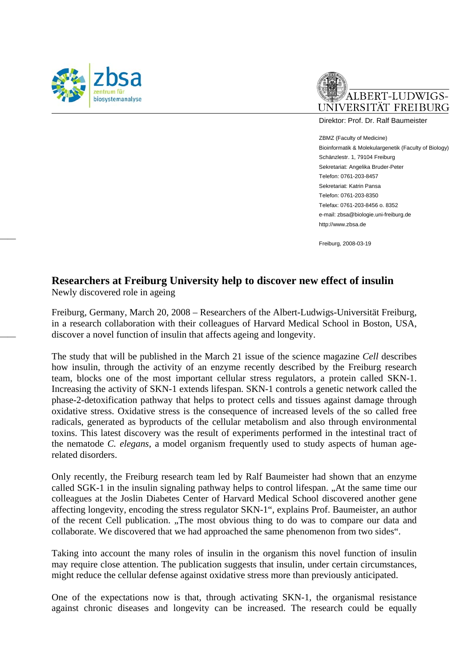



Direktor: Prof. Dr. Ralf Baumeister

ZBMZ (Faculty of Medicine) Bioinformatik & Molekulargenetik (Faculty of Biology) Schänzlestr. 1, 79104 Freiburg Sekretariat: Angelika Bruder-Peter Telefon: 0761-203-8457 Sekretariat: Katrin Pansa Telefon: 0761-203-8350 Telefax: 0761-203-8456 o. 8352 e-mail: zbsa@biologie.uni-freiburg.de http://www.zbsa.de

Freiburg, 2008-03-19

# **Researchers at Freiburg University help to discover new effect of insulin**

Newly discovered role in ageing

——

——

Freiburg, Germany, March 20, 2008 – Researchers of the Albert-Ludwigs-Universität Freiburg, in a research collaboration with their colleagues of Harvard Medical School in Boston, USA, discover a novel function of insulin that affects ageing and longevity.

The study that will be published in the March 21 issue of the science magazine *Cell* describes how insulin, through the activity of an enzyme recently described by the Freiburg research team, blocks one of the most important cellular stress regulators, a protein called SKN-1. Increasing the activity of SKN-1 extends lifespan. SKN-1 controls a genetic network called the phase-2-detoxification pathway that helps to protect cells and tissues against damage through oxidative stress. Oxidative stress is the consequence of increased levels of the so called free radicals, generated as byproducts of the cellular metabolism and also through environmental toxins. This latest discovery was the result of experiments performed in the intestinal tract of the nematode *C. elegans*, a model organism frequently used to study aspects of human agerelated disorders.

Only recently, the Freiburg research team led by Ralf Baumeister had shown that an enzyme called SGK-1 in the insulin signaling pathway helps to control lifespan. "At the same time our colleagues at the Joslin Diabetes Center of Harvard Medical School discovered another gene affecting longevity, encoding the stress regulator SKN-1", explains Prof. Baumeister, an author of the recent Cell publication. "The most obvious thing to do was to compare our data and collaborate. We discovered that we had approached the same phenomenon from two sides".

Taking into account the many roles of insulin in the organism this novel function of insulin may require close attention. The publication suggests that insulin, under certain circumstances, might reduce the cellular defense against oxidative stress more than previously anticipated.

One of the expectations now is that, through activating SKN-1, the organismal resistance against chronic diseases and longevity can be increased. The research could be equally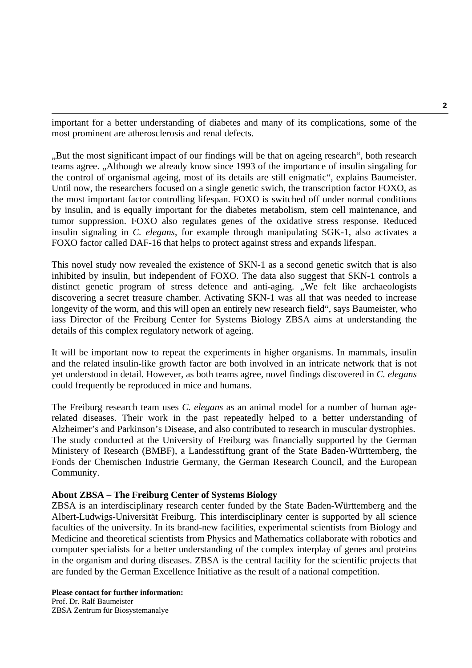important for a better understanding of diabetes and many of its complications, some of the most prominent are atherosclerosis and renal defects.

"But the most significant impact of our findings will be that on ageing research", both research, teams agree. "Although we already know since 1993 of the importance of insulin singaling for the control of organismal ageing, most of its details are still enigmatic", explains Baumeister. Until now, the researchers focused on a single genetic swich, the transcription factor FOXO, as the most important factor controlling lifespan. FOXO is switched off under normal conditions by insulin, and is equally important for the diabetes metabolism, stem cell maintenance, and tumor suppression. FOXO also regulates genes of the oxidative stress response. Reduced insulin signaling in *C. elegans*, for example through manipulating SGK-1, also activates a FOXO factor called DAF-16 that helps to protect against stress and expands lifespan.

This novel study now revealed the existence of SKN-1 as a second genetic switch that is also inhibited by insulin, but independent of FOXO. The data also suggest that SKN-1 controls a distinct genetic program of stress defence and anti-aging. "We felt like archaeologists discovering a secret treasure chamber. Activating SKN-1 was all that was needed to increase longevity of the worm, and this will open an entirely new research field", says Baumeister, who iass Director of the Freiburg Center for Systems Biology ZBSA aims at understanding the details of this complex regulatory network of ageing.

It will be important now to repeat the experiments in higher organisms. In mammals, insulin and the related insulin-like growth factor are both involved in an intricate network that is not yet understood in detail. However, as both teams agree, novel findings discovered in *C. elegans* could frequently be reproduced in mice and humans.

The Freiburg research team uses *C. elegans* as an animal model for a number of human agerelated diseases. Their work in the past repeatedly helped to a better understanding of Alzheimer's and Parkinson's Disease, and also contributed to research in muscular dystrophies. The study conducted at the University of Freiburg was financially supported by the German Ministery of Research (BMBF), a Landesstiftung grant of the State Baden-Württemberg, the Fonds der Chemischen Industrie Germany, the German Research Council, and the European Community.

### **About ZBSA – The Freiburg Center of Systems Biology**

ZBSA is an interdisciplinary research center funded by the State Baden-Württemberg and the Albert-Ludwigs-Universität Freiburg. This interdisciplinary center is supported by all science faculties of the university. In its brand-new facilities, experimental scientists from Biology and Medicine and theoretical scientists from Physics and Mathematics collaborate with robotics and computer specialists for a better understanding of the complex interplay of genes and proteins in the organism and during diseases. ZBSA is the central facility for the scientific projects that are funded by the German Excellence Initiative as the result of a national competition.

## **Please contact for further information:**

Prof. Dr. Ralf Baumeister ZBSA Zentrum für Biosystemanalye